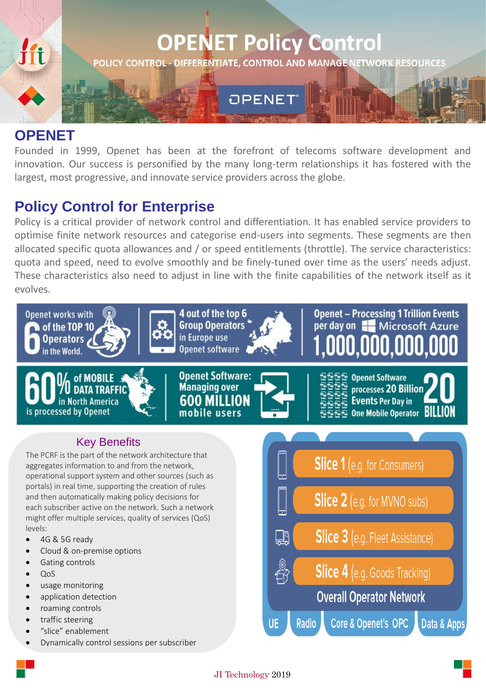

## **OPENET**

Founded in 1999, Openet has been at the forefront of telecoms software development and innovation. Our success is personified by the many long-term relationships it has fostered with the largest, most progressive, and innovate service providers across the globe.

## **Policy Control for Enterprise**

Policy is a critical provider of network control and differentiation. It has enabled service providers to optimise finite network resources and categorise end-users into segments. These segments are then allocated specific quota allowances and / or speed entitlements (throttle). The service characteristics: quota and speed, need to evolve smoothly and be finely-tuned over time as the users' needs adjust. These characteristics also need to adjust in line with the finite capabilities of the network itself as it evolves.